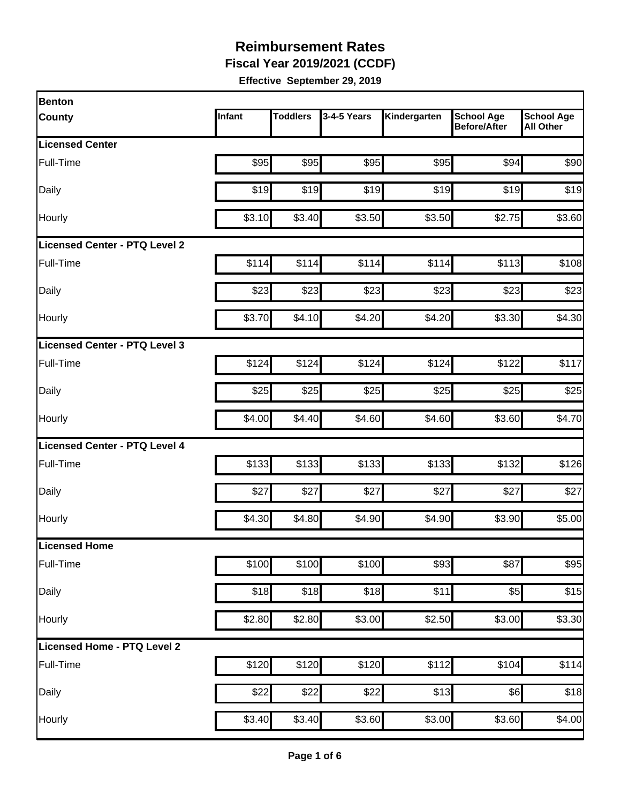**Fiscal Year 2019/2021 (CCDF)**

| Benton                        |        |                  |             |              |                                          |                                       |
|-------------------------------|--------|------------------|-------------|--------------|------------------------------------------|---------------------------------------|
| County                        | Infant | <b>Toddlers</b>  | 3-4-5 Years | Kindergarten | <b>School Age</b><br><b>Before/After</b> | <b>School Age</b><br><b>All Other</b> |
| <b>Licensed Center</b>        |        |                  |             |              |                                          |                                       |
| Full-Time                     | \$95   | \$95             | \$95        | \$95         | \$94                                     | \$90                                  |
| Daily                         | \$19   | \$19             | \$19        | \$19         | \$19                                     | \$19                                  |
| Hourly                        | \$3.10 | \$3.40           | \$3.50      | \$3.50       | \$2.75                                   | \$3.60                                |
| Licensed Center - PTQ Level 2 |        |                  |             |              |                                          |                                       |
| Full-Time                     | \$114  | \$114            | \$114       | \$114        | \$113                                    | \$108                                 |
| Daily                         | \$23   | \$23             | \$23        | \$23         | \$23                                     | \$23                                  |
| Hourly                        | \$3.70 | \$4.10           | \$4.20      | \$4.20       | \$3.30                                   | \$4.30                                |
| Licensed Center - PTQ Level 3 |        |                  |             |              |                                          |                                       |
| Full-Time                     | \$124  | \$124            | \$124       | \$124        | \$122                                    | \$117                                 |
| Daily                         | \$25   | \$25             | \$25        | \$25         | \$25                                     | \$25                                  |
| Hourly                        | \$4.00 | \$4.40           | \$4.60      | \$4.60       | \$3.60                                   | \$4.70                                |
| Licensed Center - PTQ Level 4 |        |                  |             |              |                                          |                                       |
| Full-Time                     | \$133  | \$133            | \$133       | \$133        | \$132                                    | \$126                                 |
| Daily                         | \$27   | \$27             | \$27        | \$27         | \$27                                     | \$27                                  |
| Hourly                        | \$4.30 | \$4.80           | \$4.90      | \$4.90       | \$3.90                                   | \$5.00                                |
| Licensed Home                 |        |                  |             |              |                                          |                                       |
| Full-Time                     | \$100  | \$100            | \$100       | \$93         | \$87                                     | \$95                                  |
| Daily                         | \$18   | \$18             | \$18        | \$11         | \$5                                      | \$15                                  |
| Hourly                        | \$2.80 | \$2.80           | \$3.00      | \$2.50       | \$3.00                                   | \$3.30                                |
| Licensed Home - PTQ Level 2   |        |                  |             |              |                                          |                                       |
| Full-Time                     | \$120  | \$120            | \$120       | \$112        | \$104                                    | \$114                                 |
| Daily                         | \$22   | $\overline{$}22$ | \$22]       | \$13         | \$6]                                     | \$18                                  |
| Hourly                        | \$3.40 | \$3.40           | \$3.60      | \$3.00       | \$3.60                                   | \$4.00                                |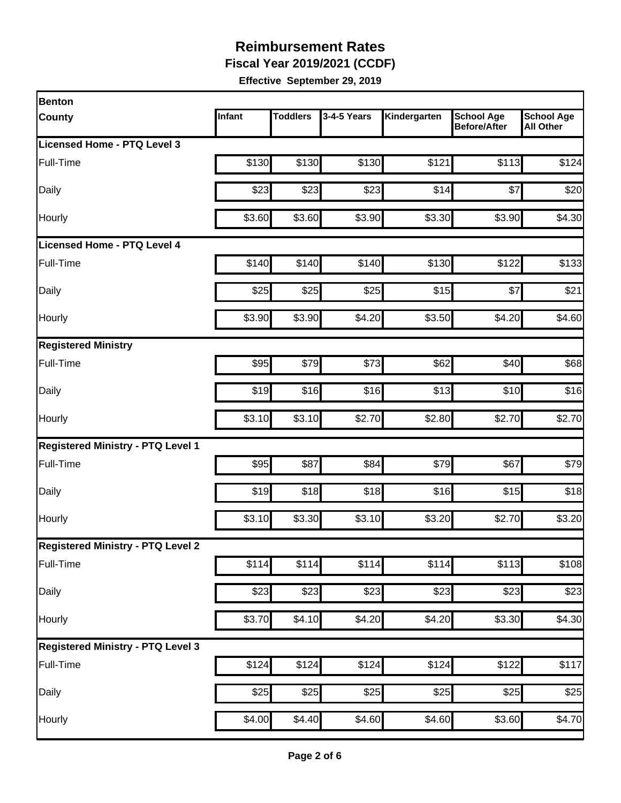**Fiscal Year 2019/2021 (CCDF)**

| <b>Benton</b>                            |        |                 |                  |              |                                          |                                       |
|------------------------------------------|--------|-----------------|------------------|--------------|------------------------------------------|---------------------------------------|
| <b>County</b>                            | Infant | <b>Toddlers</b> | 3-4-5 Years      | Kindergarten | <b>School Age</b><br><b>Before/After</b> | <b>School Age</b><br><b>All Other</b> |
| Licensed Home - PTQ Level 3              |        |                 |                  |              |                                          |                                       |
| Full-Time                                | \$130  | \$130           | \$130            | \$121        | \$113                                    | \$124                                 |
| Daily                                    | \$23   | \$23            | \$23             | \$14         | \$7                                      | \$20                                  |
| Hourly                                   | \$3.60 | \$3.60          | \$3.90           | \$3.30       | \$3.90                                   | \$4.30                                |
| Licensed Home - PTQ Level 4              |        |                 |                  |              |                                          |                                       |
| Full-Time                                | \$140  | \$140           | \$140            | \$130        | \$122                                    | \$133                                 |
| Daily                                    | \$25   | \$25            | \$25             | \$15         | \$7                                      | \$21                                  |
| Hourly                                   | \$3.90 | \$3.90          | \$4.20           | \$3.50       | \$4.20                                   | \$4.60                                |
| <b>Registered Ministry</b>               |        |                 |                  |              |                                          |                                       |
| Full-Time                                | \$95   | \$79            | \$73             | \$62         | \$40                                     | \$68                                  |
| Daily                                    | \$19   | \$16            | \$16             | \$13         | \$10                                     | \$16                                  |
| Hourly                                   | \$3.10 | \$3.10          | \$2.70           | \$2.80       | \$2.70                                   | \$2.70                                |
| <b>Registered Ministry - PTQ Level 1</b> |        |                 |                  |              |                                          |                                       |
| Full-Time                                | \$95   | \$87            | \$84             | \$79         | \$67                                     | \$79                                  |
| Daily                                    | \$19   | \$18            | \$18             | \$16         | \$15                                     | \$18                                  |
| Hourly                                   | \$3.10 | \$3.30          | \$3.10           | \$3.20       | \$2.70                                   | \$3.20                                |
| <b>Registered Ministry - PTQ Level 2</b> |        |                 |                  |              |                                          |                                       |
| Full-Time                                | \$114  | \$114           | \$114            | \$114        | $\overline{$}113$                        | \$108                                 |
| Daily                                    | \$23   | \$23            | \$23             | \$23         | \$23                                     | \$23                                  |
| Hourly                                   | \$3.70 | \$4.10          | \$4.20           | \$4.20       | \$3.30                                   | \$4.30                                |
| <b>Registered Ministry - PTQ Level 3</b> |        |                 |                  |              |                                          |                                       |
| Full-Time                                | \$124  | \$124           | \$124            | \$124        | \$122                                    | \$117                                 |
| Daily                                    | \$25   | \$25            | $\overline{$}25$ | \$25         | \$25                                     | \$25                                  |
| Hourly                                   | \$4.00 | \$4.40          | \$4.60           | \$4.60       | \$3.60                                   | \$4.70                                |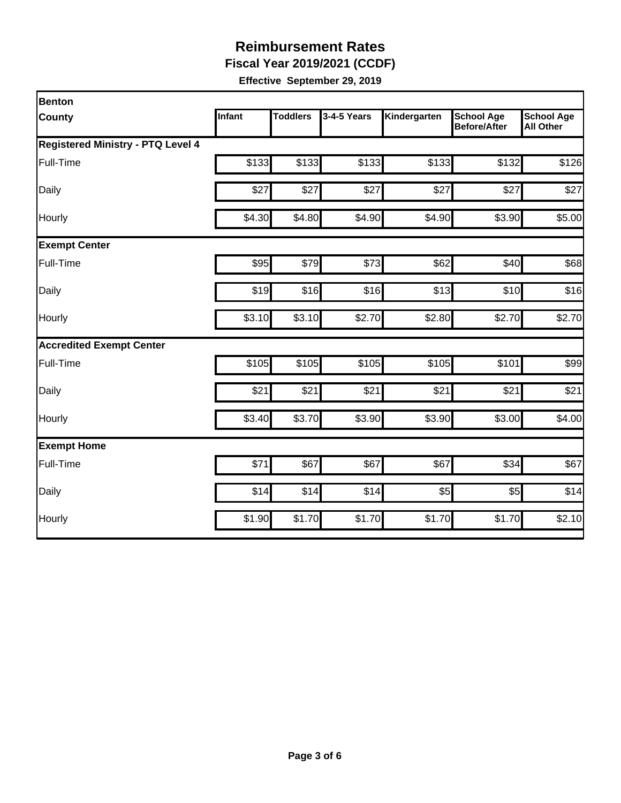**Fiscal Year 2019/2021 (CCDF)**

| Benton                                   |        |                 |             |              |                                          |                                       |
|------------------------------------------|--------|-----------------|-------------|--------------|------------------------------------------|---------------------------------------|
| County                                   | Infant | <b>Toddlers</b> | 3-4-5 Years | Kindergarten | <b>School Age</b><br><b>Before/After</b> | <b>School Age</b><br><b>All Other</b> |
| <b>Registered Ministry - PTQ Level 4</b> |        |                 |             |              |                                          |                                       |
| Full-Time                                | \$133  | \$133           | \$133       | \$133        | \$132                                    | \$126                                 |
| Daily                                    | \$27   | \$27            | \$27        | \$27         | \$27                                     | \$27                                  |
| Hourly                                   | \$4.30 | \$4.80          | \$4.90      | \$4.90       | \$3.90                                   | \$5.00                                |
| <b>Exempt Center</b>                     |        |                 |             |              |                                          |                                       |
| Full-Time                                | \$95   | \$79            | \$73        | \$62         | \$40                                     | \$68                                  |
| Daily                                    | \$19   | \$16            | \$16        | \$13         | \$10                                     | \$16                                  |
| Hourly                                   | \$3.10 | \$3.10          | \$2.70      | \$2.80       | \$2.70                                   | \$2.70                                |
| <b>Accredited Exempt Center</b>          |        |                 |             |              |                                          |                                       |
| Full-Time                                | \$105  | \$105           | \$105       | \$105        | \$101                                    | \$99                                  |
| Daily                                    | \$21   | \$21            | \$21        | \$21         | \$21                                     | \$21                                  |
| Hourly                                   | \$3.40 | \$3.70          | \$3.90      | \$3.90       | \$3.00                                   | \$4.00                                |
| <b>Exempt Home</b>                       |        |                 |             |              |                                          |                                       |
| Full-Time                                | \$71   | \$67            | \$67        | \$67         | \$34                                     | \$67                                  |
| Daily                                    | \$14   | \$14            | \$14        | \$5          | \$5                                      | \$14                                  |
| Hourly                                   | \$1.90 | \$1.70          | \$1.70      | \$1.70       | \$1.70                                   | \$2.10                                |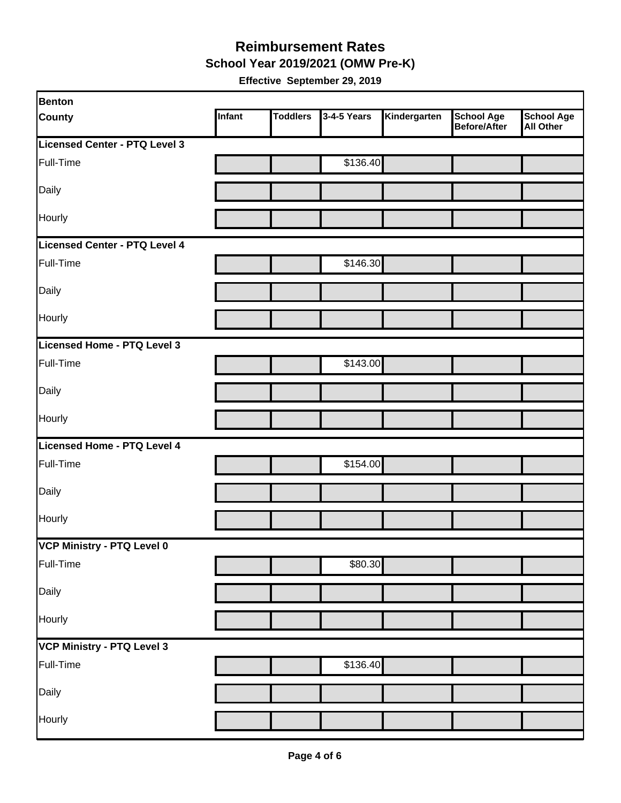**School Year 2019/2021 (OMW Pre-K)**

| Benton                        |        |                 |             |              |                                   |                         |
|-------------------------------|--------|-----------------|-------------|--------------|-----------------------------------|-------------------------|
| <b>County</b>                 | Infant | <b>Toddlers</b> | 3-4-5 Years | Kindergarten | <b>School Age</b><br>Before/After | School Age<br>All Other |
| Licensed Center - PTQ Level 3 |        |                 |             |              |                                   |                         |
| Full-Time                     |        |                 | \$136.40    |              |                                   |                         |
| Daily                         |        |                 |             |              |                                   |                         |
| Hourly                        |        |                 |             |              |                                   |                         |
| Licensed Center - PTQ Level 4 |        |                 |             |              |                                   |                         |
| Full-Time                     |        |                 | \$146.30    |              |                                   |                         |
| Daily                         |        |                 |             |              |                                   |                         |
| Hourly                        |        |                 |             |              |                                   |                         |
| Licensed Home - PTQ Level 3   |        |                 |             |              |                                   |                         |
| Full-Time                     |        |                 | \$143.00    |              |                                   |                         |
| Daily                         |        |                 |             |              |                                   |                         |
| Hourly                        |        |                 |             |              |                                   |                         |
| Licensed Home - PTQ Level 4   |        |                 |             |              |                                   |                         |
| Full-Time                     |        |                 | \$154.00    |              |                                   |                         |
| Daily                         |        |                 |             |              |                                   |                         |
| Hourly                        |        |                 |             |              |                                   |                         |
| VCP Ministry - PTQ Level 0    |        |                 |             |              |                                   |                         |
| Full-Time                     |        |                 | \$80.30     |              |                                   |                         |
| Daily                         |        |                 |             |              |                                   |                         |
| Hourly                        |        |                 |             |              |                                   |                         |
| VCP Ministry - PTQ Level 3    |        |                 |             |              |                                   |                         |
| Full-Time                     |        |                 | \$136.40    |              |                                   |                         |
| Daily                         |        |                 |             |              |                                   |                         |
| Hourly                        |        |                 |             |              |                                   |                         |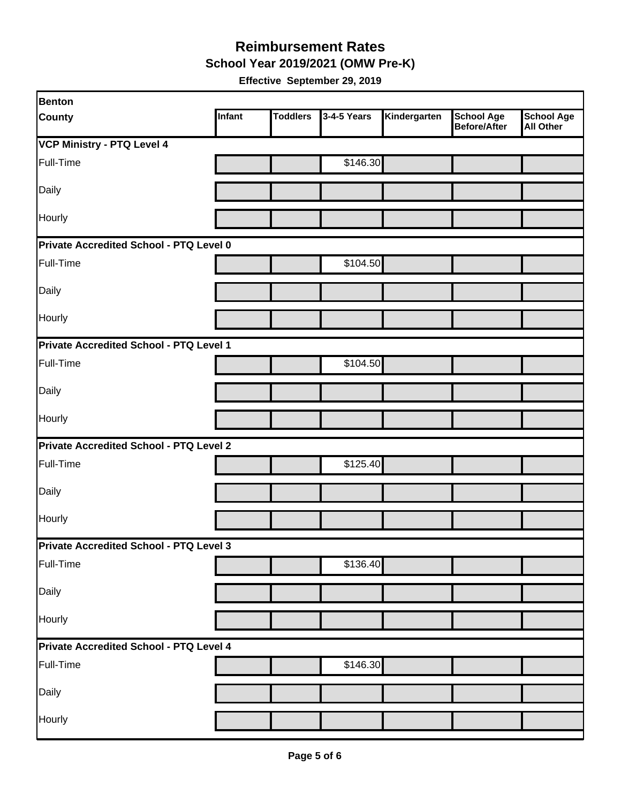**School Year 2019/2021 (OMW Pre-K)**

| <b>Benton</b>                           |               |                 |             |              |                                   |                                       |
|-----------------------------------------|---------------|-----------------|-------------|--------------|-----------------------------------|---------------------------------------|
| County                                  | <b>Infant</b> | <b>Toddlers</b> | 3-4-5 Years | Kindergarten | <b>School Age</b><br>Before/After | <b>School Age</b><br><b>All Other</b> |
| <b>VCP Ministry - PTQ Level 4</b>       |               |                 |             |              |                                   |                                       |
| Full-Time                               |               |                 | \$146.30    |              |                                   |                                       |
| Daily                                   |               |                 |             |              |                                   |                                       |
| Hourly                                  |               |                 |             |              |                                   |                                       |
| Private Accredited School - PTQ Level 0 |               |                 |             |              |                                   |                                       |
| Full-Time                               |               |                 | \$104.50    |              |                                   |                                       |
| Daily                                   |               |                 |             |              |                                   |                                       |
| Hourly                                  |               |                 |             |              |                                   |                                       |
| Private Accredited School - PTQ Level 1 |               |                 |             |              |                                   |                                       |
| Full-Time                               |               |                 | \$104.50    |              |                                   |                                       |
| Daily                                   |               |                 |             |              |                                   |                                       |
| Hourly                                  |               |                 |             |              |                                   |                                       |
| Private Accredited School - PTQ Level 2 |               |                 |             |              |                                   |                                       |
| Full-Time                               |               |                 | \$125.40    |              |                                   |                                       |
| Daily                                   |               |                 |             |              |                                   |                                       |
| Hourly                                  |               |                 |             |              |                                   |                                       |
| Private Accredited School - PTQ Level 3 |               |                 |             |              |                                   |                                       |
| Full-Time                               |               |                 | \$136.40    |              |                                   |                                       |
| Daily                                   |               |                 |             |              |                                   |                                       |
| Hourly                                  |               |                 |             |              |                                   |                                       |
| Private Accredited School - PTQ Level 4 |               |                 |             |              |                                   |                                       |
| Full-Time                               |               |                 | \$146.30    |              |                                   |                                       |
| Daily                                   |               |                 |             |              |                                   |                                       |
| Hourly                                  |               |                 |             |              |                                   |                                       |